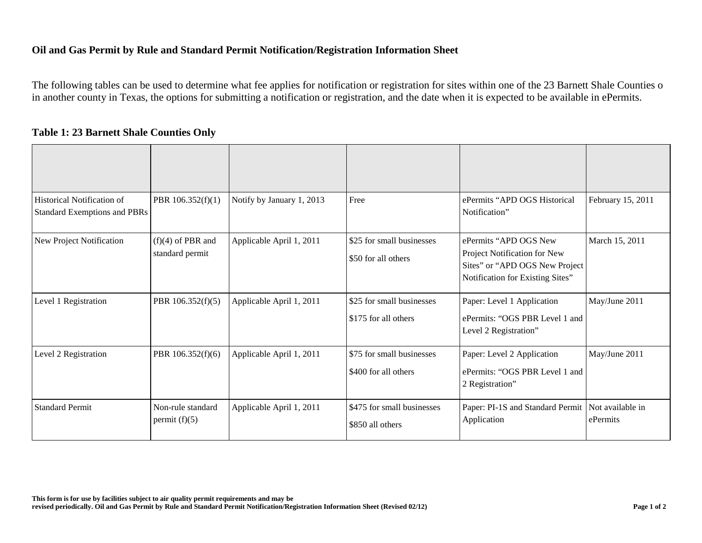## **Oil and Gas Permit by Rule and Standard Permit Notification/Registration Information Sheet**

The following tables can be used to determine what fee applies for notification or registration for sites within one of the 23 Barnett Shale Counties o in another county in Texas, the options for submitting a notification or registration, and the date when it is expected to be available in ePermits.

| <b>Table 1: 23 Barnett Shale Counties Only</b> |
|------------------------------------------------|
|------------------------------------------------|

| <b>Historical Notification of</b><br><b>Standard Exemptions and PBRs</b> | PBR 106.352(f)(1)                      | Notify by January 1, 2013 | Free                                              | ePermits "APD OGS Historical<br>Notification"                                                                               | February 15, 2011            |
|--------------------------------------------------------------------------|----------------------------------------|---------------------------|---------------------------------------------------|-----------------------------------------------------------------------------------------------------------------------------|------------------------------|
| New Project Notification                                                 | $(f)(4)$ of PBR and<br>standard permit | Applicable April 1, 2011  | \$25 for small businesses<br>\$50 for all others  | ePermits "APD OGS New<br>Project Notification for New<br>Sites" or "APD OGS New Project<br>Notification for Existing Sites" | March 15, 2011               |
| Level 1 Registration                                                     | PBR 106.352(f)(5)                      | Applicable April 1, 2011  | \$25 for small businesses<br>\$175 for all others | Paper: Level 1 Application<br>ePermits: "OGS PBR Level 1 and<br>Level 2 Registration"                                       | May/June 2011                |
| Level 2 Registration                                                     | PBR 106.352(f)(6)                      | Applicable April 1, 2011  | \$75 for small businesses<br>\$400 for all others | Paper: Level 2 Application<br>ePermits: "OGS PBR Level 1 and<br>2 Registration"                                             | May/June 2011                |
| <b>Standard Permit</b>                                                   | Non-rule standard<br>permit $(f)(5)$   | Applicable April 1, 2011  | \$475 for small businesses<br>\$850 all others    | Paper: PI-1S and Standard Permit<br>Application                                                                             | Not available in<br>ePermits |